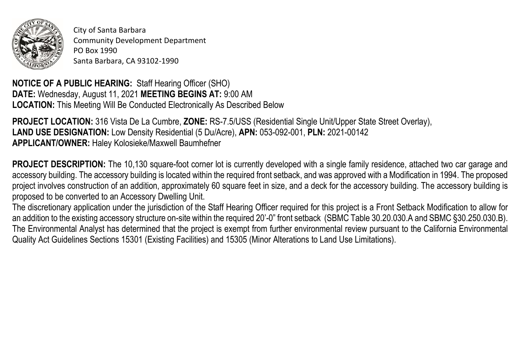

City of Santa Barbara Community Development Department PO Box 1990 Santa Barbara, CA 93102-1990

**NOTICE OF A PUBLIC HEARING:** Staff Hearing Officer (SHO) **DATE:** Wednesday, August 11, 2021 **MEETING BEGINS AT:** 9:00 AM **LOCATION:** This Meeting Will Be Conducted Electronically As Described Below

**PROJECT LOCATION:** 316 Vista De La Cumbre, **ZONE:** RS-7.5/USS (Residential Single Unit/Upper State Street Overlay), **LAND USE DESIGNATION:** Low Density Residential (5 Du/Acre), **APN:** 053-092-001, **PLN:** 2021-00142 **APPLICANT/OWNER:** Haley Kolosieke/Maxwell Baumhefner

**PROJECT DESCRIPTION:** The 10,130 square-foot corner lot is currently developed with a single family residence, attached two car garage and accessory building. The accessory building is located within the required front setback, and was approved with a Modification in 1994. The proposed project involves construction of an addition, approximately 60 square feet in size, and a deck for the accessory building. The accessory building is proposed to be converted to an Accessory Dwelling Unit.

The discretionary application under the jurisdiction of the Staff Hearing Officer required for this project is a Front Setback Modification to allow for an addition to the existing accessory structure on-site within the required 20'-0" front setback (SBMC Table 30.20.030.A and SBMC §30.250.030.B). The Environmental Analyst has determined that the project is exempt from further environmental review pursuant to the California Environmental Quality Act Guidelines Sections 15301 (Existing Facilities) and 15305 (Minor Alterations to Land Use Limitations).